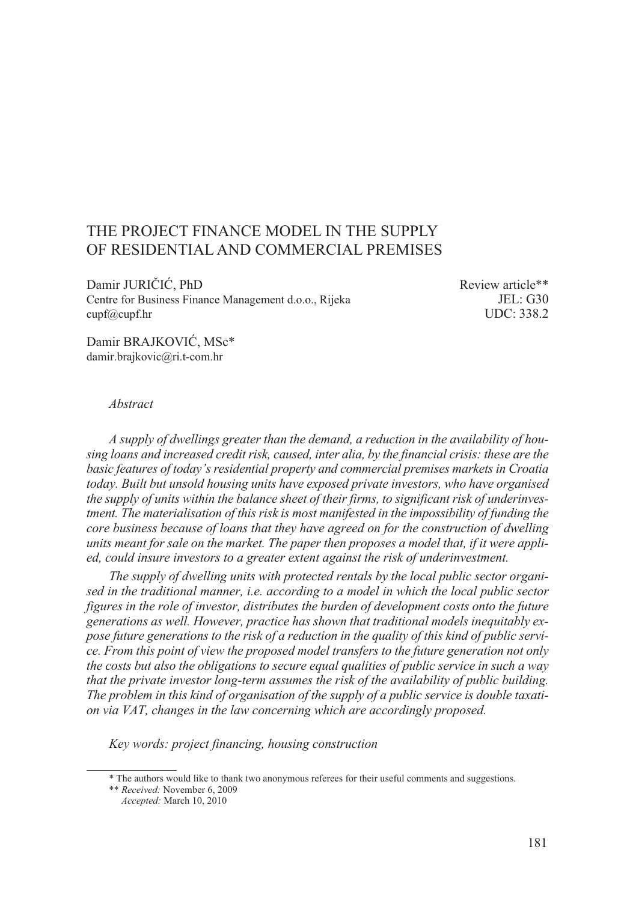# THE PROJECT FINANCE MODEL IN THE SUPPLY OF RESIDENTIAL AND COMMERCIAL PREMISES

Damir JURIČIĆ, PhD Review article\*\* Centre for Business Finance Management d.o.o., Rijeka JEL: G30<br>cupf@cupf.hr<br>UDC: 338.2  $c$ upf $(a)$ cupf.hr

Damir BRAJKOVIĆ, MSc\* damir.brajkovic@ri.t-com.hr

#### *Abstract*

*A supply of dwellings greater than the demand, a reduction in the availability of housing loans and increased credit risk, caused, inter alia, by the financial crisis: these are the basic features of today's residential property and commercial premises markets in Croatia today. Built but unsold housing units have exposed private investors, who have organised the supply of units within the balance sheet of their firms, to significant risk of underinvestment. The materialisation of this risk is most manifested in the impossibility of funding the core business because of loans that they have agreed on for the construction of dwelling units meant for sale on the market. The paper then proposes a model that, if it were applied, could insure investors to a greater extent against the risk of underinvestment.*

*The supply of dwelling units with protected rentals by the local public sector organised in the traditional manner, i.e. according to a model in which the local public sector figures in the role of investor, distributes the burden of development costs onto the future generations as well. However, practice has shown that traditional models inequitably expose future generations to the risk of a reduction in the quality of this kind of public service. From this point of view the proposed model transfers to the future generation not only the costs but also the obligations to secure equal qualities of public service in such a way that the private investor long-term assumes the risk of the availability of public building. The problem in this kind of organisation of the supply of a public service is double taxation via VAT, changes in the law concerning which are accordingly proposed.*

*Key words: project financing, housing construction*

<sup>\*</sup> The authors would like to thank two anonymous referees for their useful comments and suggestions.

<sup>\*\*</sup> *Received:* November 6, 2009 *Accepted:* March 10, 2010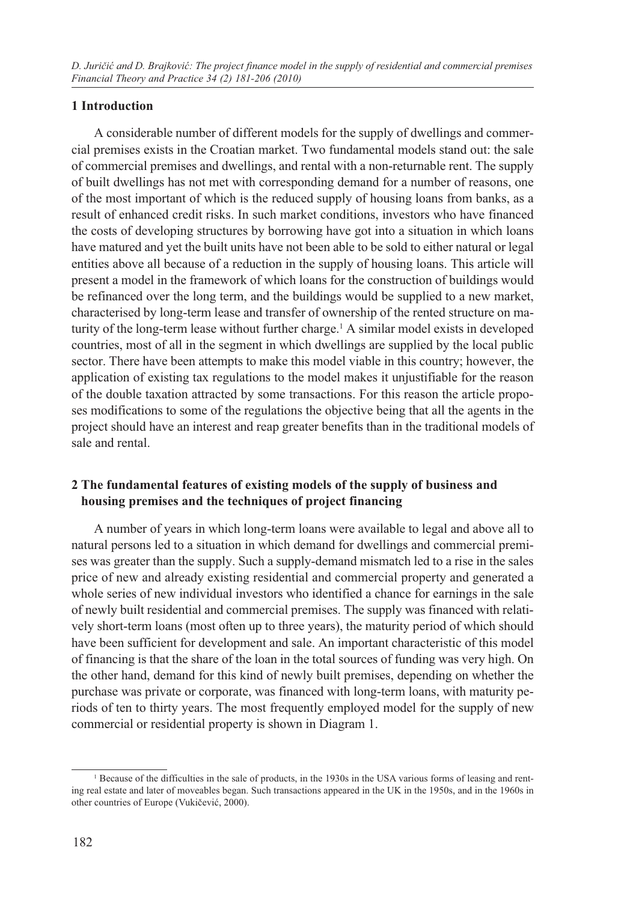## **1 Introduction**

A considerable number of different models for the supply of dwellings and commercial premises exists in the Croatian market. Two fundamental models stand out: the sale of commercial premises and dwellings, and rental with a non-returnable rent. The supply of built dwellings has not met with corresponding demand for a number of reasons, one of the most important of which is the reduced supply of housing loans from banks, as a result of enhanced credit risks. In such market conditions, investors who have financed the costs of developing structures by borrowing have got into a situation in which loans have matured and yet the built units have not been able to be sold to either natural or legal entities above all because of a reduction in the supply of housing loans. This article will present a model in the framework of which loans for the construction of buildings would be refinanced over the long term, and the buildings would be supplied to a new market, characterised by long-term lease and transfer of ownership of the rented structure on maturity of the long-term lease without further charge.<sup>1</sup> A similar model exists in developed countries, most of all in the segment in which dwellings are supplied by the local public sector. There have been attempts to make this model viable in this country; however, the application of existing tax regulations to the model makes it unjustifiable for the reason of the double taxation attracted by some transactions. For this reason the article proposes modifications to some of the regulations the objective being that all the agents in the project should have an interest and reap greater benefits than in the traditional models of sale and rental.

## **2 The fundamental features of existing models of the supply of business and housing premises and the techniques of project financing**

A number of years in which long-term loans were available to legal and above all to natural persons led to a situation in which demand for dwellings and commercial premises was greater than the supply. Such a supply-demand mismatch led to a rise in the sales price of new and already existing residential and commercial property and generated a whole series of new individual investors who identified a chance for earnings in the sale of newly built residential and commercial premises. The supply was financed with relatively short-term loans (most often up to three years), the maturity period of which should have been sufficient for development and sale. An important characteristic of this model of financing is that the share of the loan in the total sources of funding was very high. On the other hand, demand for this kind of newly built premises, depending on whether the purchase was private or corporate, was financed with long-term loans, with maturity periods of ten to thirty years. The most frequently employed model for the supply of new commercial or residential property is shown in Diagram 1.

<sup>&</sup>lt;sup>1</sup> Because of the difficulties in the sale of products, in the 1930s in the USA various forms of leasing and renting real estate and later of moveables began. Such transactions appeared in the UK in the 1950s, and in the 1960s in other countries of Europe (Vukičević, 2000).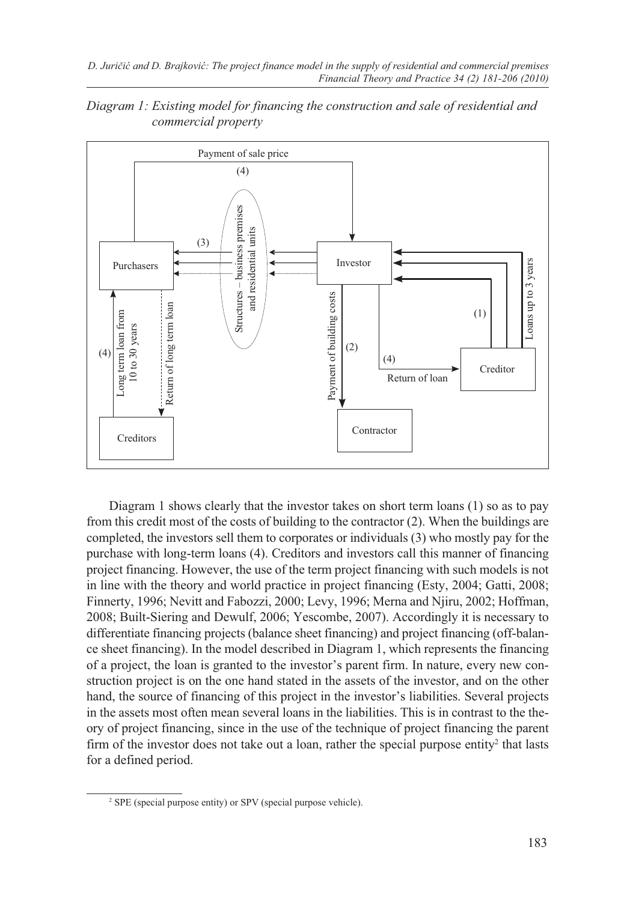

*Diagram 1: Existing model for financing the construction and sale of residential and commercial property*

Diagram 1 shows clearly that the investor takes on short term loans (1) so as to pay from this credit most of the costs of building to the contractor (2). When the buildings are completed, the investors sell them to corporates or individuals (3) who mostly pay for the purchase with long-term loans (4). Creditors and investors call this manner of financing project financing. However, the use of the term project financing with such models is not in line with the theory and world practice in project financing (Esty, 2004; Gatti, 2008; Finnerty, 1996; Nevitt and Fabozzi, 2000; Levy, 1996; Merna and Njiru, 2002; Hoffman, 2008; Built-Siering and Dewulf, 2006; Yescombe, 2007). Accordingly it is necessary to differentiate financing projects (balance sheet financing) and project financing (off-balance sheet financing). In the model described in Diagram 1, which represents the financing of a project, the loan is granted to the investor's parent firm. In nature, every new construction project is on the one hand stated in the assets of the investor, and on the other hand, the source of financing of this project in the investor's liabilities. Several projects in the assets most often mean several loans in the liabilities. This is in contrast to the theory of project financing, since in the use of the technique of project financing the parent firm of the investor does not take out a loan, rather the special purpose entity<sup>2</sup> that lasts for a defined period.

<sup>2</sup> SPE (special purpose entity) or SPV (special purpose vehicle).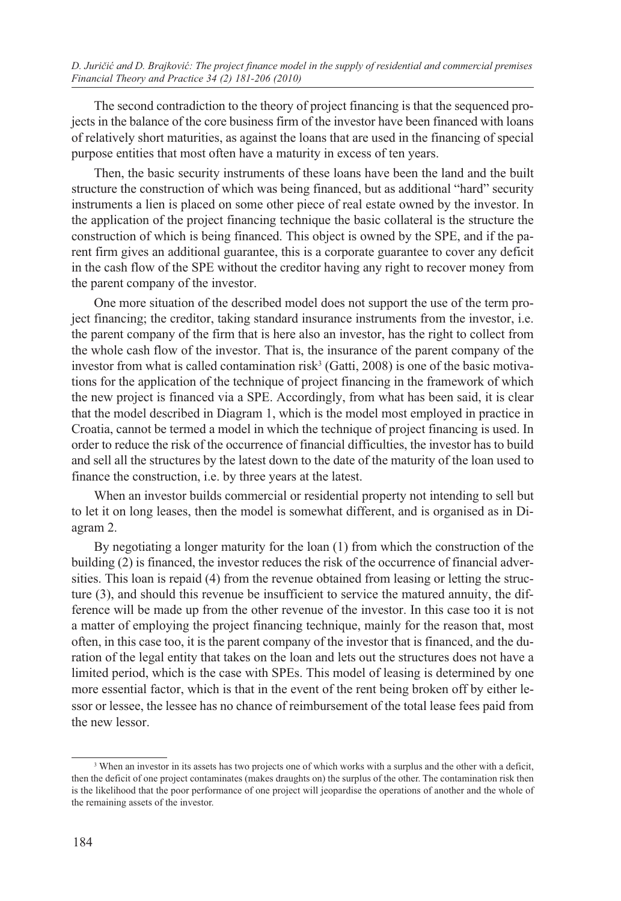The second contradiction to the theory of project financing is that the sequenced projects in the balance of the core business firm of the investor have been financed with loans of relatively short maturities, as against the loans that are used in the financing of special purpose entities that most often have a maturity in excess of ten years.

Then, the basic security instruments of these loans have been the land and the built structure the construction of which was being financed, but as additional "hard" security instruments a lien is placed on some other piece of real estate owned by the investor. In the application of the project financing technique the basic collateral is the structure the construction of which is being financed. This object is owned by the SPE, and if the parent firm gives an additional guarantee, this is a corporate guarantee to cover any deficit in the cash flow of the SPE without the creditor having any right to recover money from the parent company of the investor.

One more situation of the described model does not support the use of the term project financing; the creditor, taking standard insurance instruments from the investor, i.e. the parent company of the firm that is here also an investor, has the right to collect from the whole cash flow of the investor. That is, the insurance of the parent company of the investor from what is called contamination risk<sup>3</sup> (Gatti, 2008) is one of the basic motivations for the application of the technique of project financing in the framework of which the new project is financed via a SPE. Accordingly, from what has been said, it is clear that the model described in Diagram 1, which is the model most employed in practice in Croatia, cannot be termed a model in which the technique of project financing is used. In order to reduce the risk of the occurrence of financial difficulties, the investor has to build and sell all the structures by the latest down to the date of the maturity of the loan used to finance the construction, i.e. by three years at the latest.

When an investor builds commercial or residential property not intending to sell but to let it on long leases, then the model is somewhat different, and is organised as in Diagram 2.

By negotiating a longer maturity for the loan (1) from which the construction of the building (2) is financed, the investor reduces the risk of the occurrence of financial adversities. This loan is repaid (4) from the revenue obtained from leasing or letting the structure (3), and should this revenue be insufficient to service the matured annuity, the difference will be made up from the other revenue of the investor. In this case too it is not a matter of employing the project financing technique, mainly for the reason that, most often, in this case too, it is the parent company of the investor that is financed, and the duration of the legal entity that takes on the loan and lets out the structures does not have a limited period, which is the case with SPEs. This model of leasing is determined by one more essential factor, which is that in the event of the rent being broken off by either lessor or lessee, the lessee has no chance of reimbursement of the total lease fees paid from the new lessor.

<sup>&</sup>lt;sup>3</sup> When an investor in its assets has two projects one of which works with a surplus and the other with a deficit, then the deficit of one project contaminates (makes draughts on) the surplus of the other. The contamination risk then is the likelihood that the poor performance of one project will jeopardise the operations of another and the whole of the remaining assets of the investor.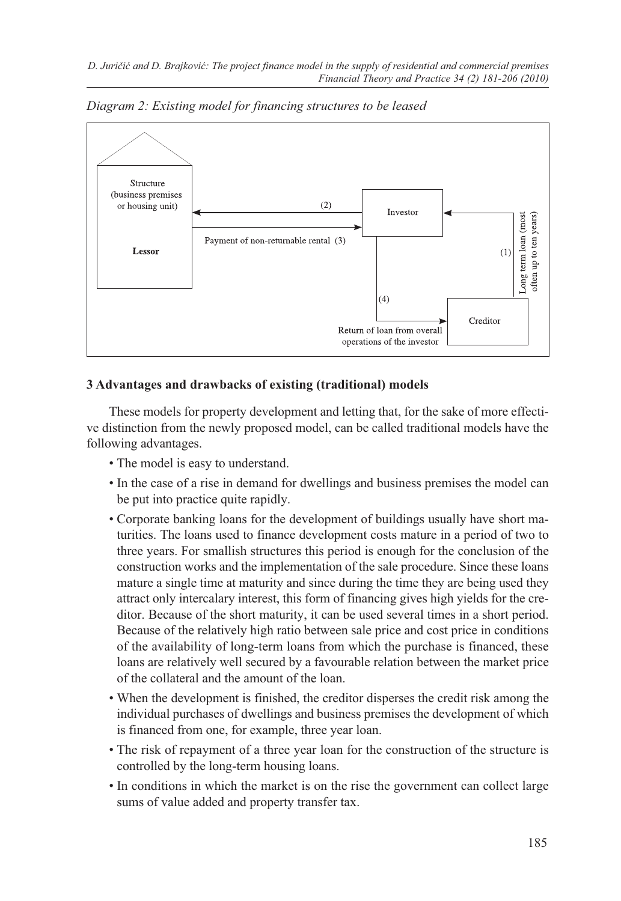

*Diagram 2: Existing model for financing structures to be leased*

## **3 Advantages and drawbacks of existing (traditional) models**

These models for property development and letting that, for the sake of more effective distinction from the newly proposed model, can be called traditional models have the following advantages.

- The model is easy to understand.
- In the case of a rise in demand for dwellings and business premises the model can be put into practice quite rapidly.
- Corporate banking loans for the development of buildings usually have short maturities. The loans used to finance development costs mature in a period of two to three years. For smallish structures this period is enough for the conclusion of the construction works and the implementation of the sale procedure. Since these loans mature a single time at maturity and since during the time they are being used they attract only intercalary interest, this form of financing gives high yields for the creditor. Because of the short maturity, it can be used several times in a short period. Because of the relatively high ratio between sale price and cost price in conditions of the availability of long-term loans from which the purchase is financed, these loans are relatively well secured by a favourable relation between the market price of the collateral and the amount of the loan.
- When the development is finished, the creditor disperses the credit risk among the individual purchases of dwellings and business premises the development of which is financed from one, for example, three year loan.
- The risk of repayment of a three year loan for the construction of the structure is controlled by the long-term housing loans.
- In conditions in which the market is on the rise the government can collect large sums of value added and property transfer tax.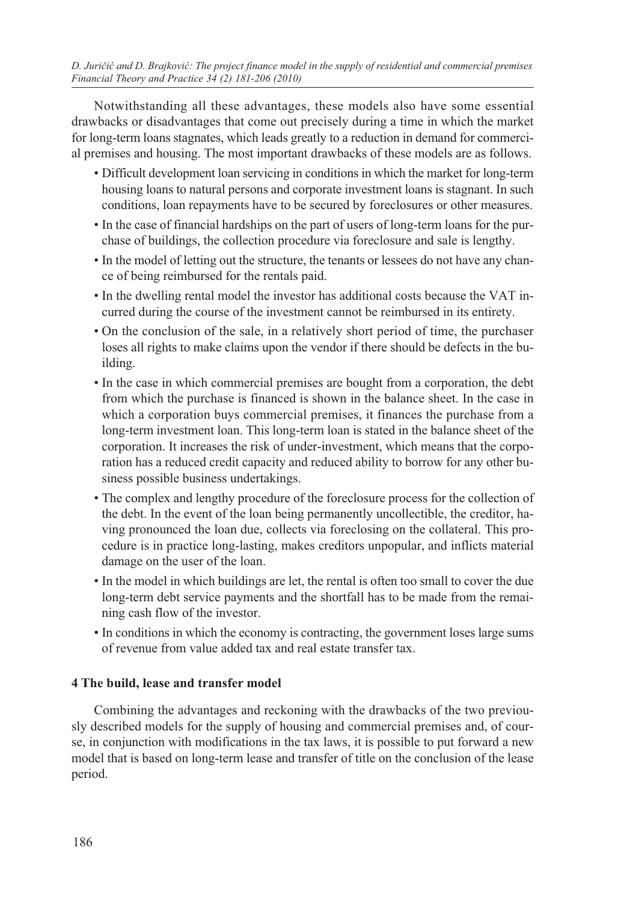*D. Juričić and D. Brajković: The project finance model in the supply of residential and commercial premises Financial Theory and Practice 34 (2) 181-206 (2010)*

Notwithstanding all these advantages, these models also have some essential drawbacks or disadvantages that come out precisely during a time in which the market for long-term loans stagnates, which leads greatly to a reduction in demand for commercial premises and housing. The most important drawbacks of these models are as follows.

- Difficult development loan servicing in conditions in which the market for long-term housing loans to natural persons and corporate investment loans is stagnant. In such conditions, loan repayments have to be secured by foreclosures or other measures.
- In the case of financial hardships on the part of users of long-term loans for the purchase of buildings, the collection procedure via foreclosure and sale is lengthy.
- In the model of letting out the structure, the tenants or lessees do not have any chance of being reimbursed for the rentals paid.
- In the dwelling rental model the investor has additional costs because the VAT incurred during the course of the investment cannot be reimbursed in its entirety.
- On the conclusion of the sale, in a relatively short period of time, the purchaser loses all rights to make claims upon the vendor if there should be defects in the building.
- In the case in which commercial premises are bought from a corporation, the debt from which the purchase is financed is shown in the balance sheet. In the case in which a corporation buys commercial premises, it finances the purchase from a long-term investment loan. This long-term loan is stated in the balance sheet of the corporation. It increases the risk of under-investment, which means that the corporation has a reduced credit capacity and reduced ability to borrow for any other business possible business undertakings.
- The complex and lengthy procedure of the foreclosure process for the collection of the debt. In the event of the loan being permanently uncollectible, the creditor, having pronounced the loan due, collects via foreclosing on the collateral. This procedure is in practice long-lasting, makes creditors unpopular, and inflicts material damage on the user of the loan.
- In the model in which buildings are let, the rental is often too small to cover the due long-term debt service payments and the shortfall has to be made from the remaining cash flow of the investor.
- In conditions in which the economy is contracting, the government loses large sums of revenue from value added tax and real estate transfer tax.

## **4 The build, lease and transfer model**

Combining the advantages and reckoning with the drawbacks of the two previously described models for the supply of housing and commercial premises and, of course, in conjunction with modifications in the tax laws, it is possible to put forward a new model that is based on long-term lease and transfer of title on the conclusion of the lease period.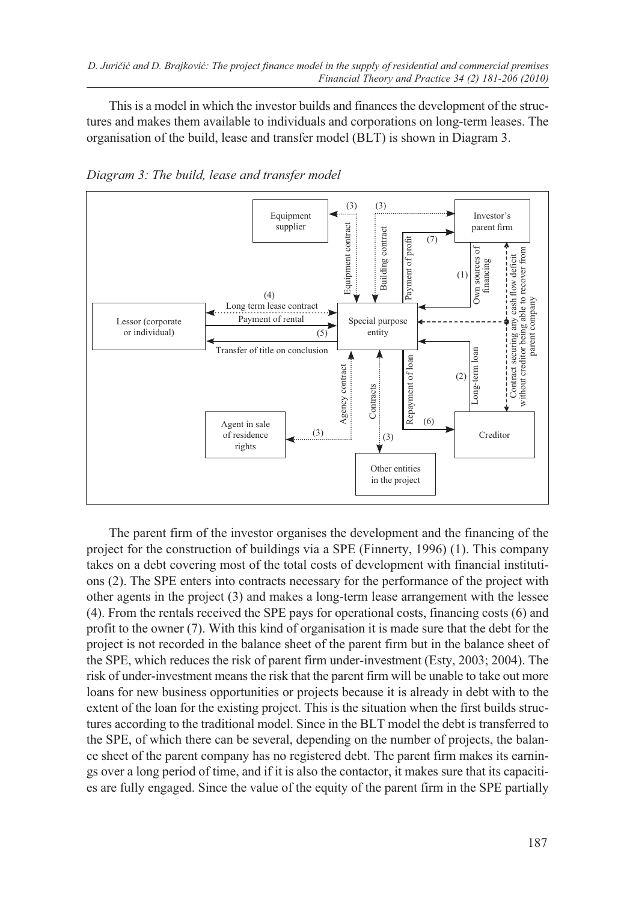This is a model in which the investor builds and finances the development of the structures and makes them available to individuals and corporations on long-term leases. The organisation of the build, lease and transfer model (BLT) is shown in Diagram 3.



*Diagram 3: The build, lease and transfer model*

The parent firm of the investor organises the development and the financing of the project for the construction of buildings via a SPE (Finnerty, 1996) (1). This company takes on a debt covering most of the total costs of development with financial institutions (2). The SPE enters into contracts necessary for the performance of the project with other agents in the project (3) and makes a long-term lease arrangement with the lessee (4). From the rentals received the SPE pays for operational costs, financing costs (6) and profit to the owner (7). With this kind of organisation it is made sure that the debt for the project is not recorded in the balance sheet of the parent firm but in the balance sheet of the SPE, which reduces the risk of parent firm under-investment (Esty, 2003; 2004). The risk of under-investment means the risk that the parent firm will be unable to take out more loans for new business opportunities or projects because it is already in debt with to the extent of the loan for the existing project. This is the situation when the first builds structures according to the traditional model. Since in the BLT model the debt is transferred to the SPE, of which there can be several, depending on the number of projects, the balance sheet of the parent company has no registered debt. The parent firm makes its earnings over a long period of time, and if it is also the contactor, it makes sure that its capacities are fully engaged. Since the value of the equity of the parent firm in the SPE partially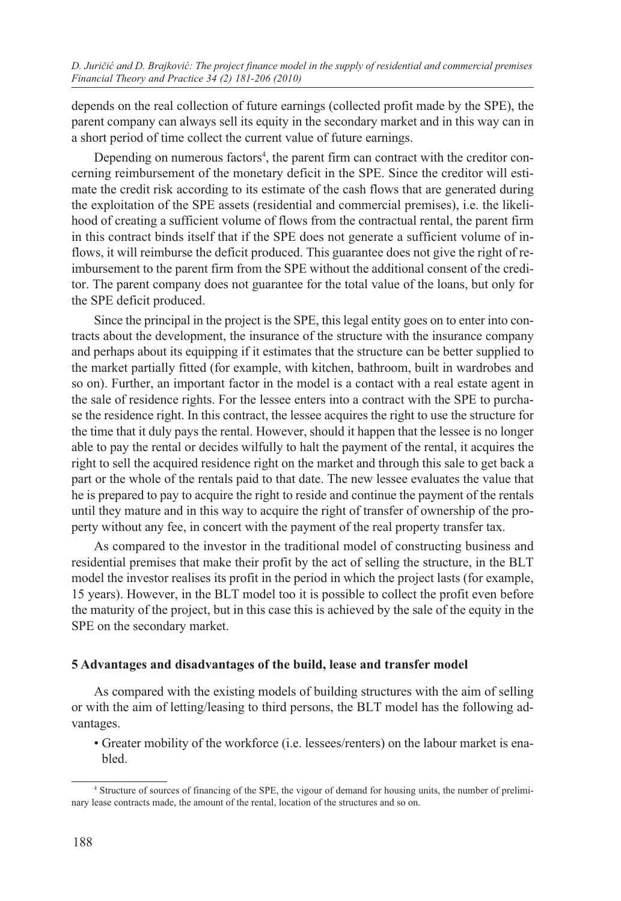depends on the real collection of future earnings (collected profit made by the SPE), the parent company can always sell its equity in the secondary market and in this way can in a short period of time collect the current value of future earnings.

Depending on numerous factors<sup>4</sup>, the parent firm can contract with the creditor concerning reimbursement of the monetary deficit in the SPE. Since the creditor will estimate the credit risk according to its estimate of the cash flows that are generated during the exploitation of the SPE assets (residential and commercial premises), i.e. the likelihood of creating a sufficient volume of flows from the contractual rental, the parent firm in this contract binds itself that if the SPE does not generate a sufficient volume of inflows, it will reimburse the deficit produced. This guarantee does not give the right of reimbursement to the parent firm from the SPE without the additional consent of the creditor. The parent company does not guarantee for the total value of the loans, but only for the SPE deficit produced.

Since the principal in the project is the SPE, this legal entity goes on to enter into contracts about the development, the insurance of the structure with the insurance company and perhaps about its equipping if it estimates that the structure can be better supplied to the market partially fitted (for example, with kitchen, bathroom, built in wardrobes and so on). Further, an important factor in the model is a contact with a real estate agent in the sale of residence rights. For the lessee enters into a contract with the SPE to purchase the residence right. In this contract, the lessee acquires the right to use the structure for the time that it duly pays the rental. However, should it happen that the lessee is no longer able to pay the rental or decides wilfully to halt the payment of the rental, it acquires the right to sell the acquired residence right on the market and through this sale to get back a part or the whole of the rentals paid to that date. The new lessee evaluates the value that he is prepared to pay to acquire the right to reside and continue the payment of the rentals until they mature and in this way to acquire the right of transfer of ownership of the property without any fee, in concert with the payment of the real property transfer tax.

As compared to the investor in the traditional model of constructing business and residential premises that make their profit by the act of selling the structure, in the BLT model the investor realises its profit in the period in which the project lasts (for example, 15 years). However, in the BLT model too it is possible to collect the profit even before the maturity of the project, but in this case this is achieved by the sale of the equity in the SPE on the secondary market.

## **5 Advantages and disadvantages of the build, lease and transfer model**

As compared with the existing models of building structures with the aim of selling or with the aim of letting/leasing to third persons, the BLT model has the following advantages.

• Greater mobility of the workforce (i.e. lessees/renters) on the labour market is enabled.

<sup>4</sup> Structure of sources of financing of the SPE, the vigour of demand for housing units, the number of preliminary lease contracts made, the amount of the rental, location of the structures and so on.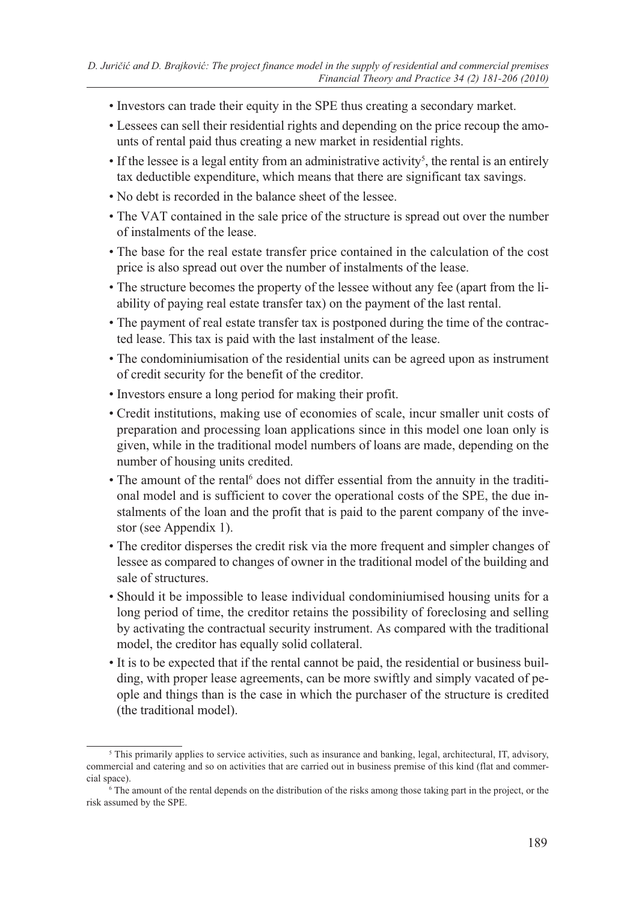- Investors can trade their equity in the SPE thus creating a secondary market.
- Lessees can sell their residential rights and depending on the price recoup the amounts of rental paid thus creating a new market in residential rights.
- If the lessee is a legal entity from an administrative activity<sup>5</sup>, the rental is an entirely tax deductible expenditure, which means that there are significant tax savings.
- No debt is recorded in the balance sheet of the lessee.
- The VAT contained in the sale price of the structure is spread out over the number of instalments of the lease.
- The base for the real estate transfer price contained in the calculation of the cost price is also spread out over the number of instalments of the lease.
- The structure becomes the property of the lessee without any fee (apart from the liability of paying real estate transfer tax) on the payment of the last rental.
- The payment of real estate transfer tax is postponed during the time of the contracted lease. This tax is paid with the last instalment of the lease.
- The condominiumisation of the residential units can be agreed upon as instrument of credit security for the benefit of the creditor.
- Investors ensure a long period for making their profit.
- Credit institutions, making use of economies of scale, incur smaller unit costs of preparation and processing loan applications since in this model one loan only is given, while in the traditional model numbers of loans are made, depending on the number of housing units credited.
- The amount of the rental<sup>6</sup> does not differ essential from the annuity in the traditional model and is sufficient to cover the operational costs of the SPE, the due instalments of the loan and the profit that is paid to the parent company of the investor (see Appendix 1).
- The creditor disperses the credit risk via the more frequent and simpler changes of lessee as compared to changes of owner in the traditional model of the building and sale of structures.
- Should it be impossible to lease individual condominiumised housing units for a long period of time, the creditor retains the possibility of foreclosing and selling by activating the contractual security instrument. As compared with the traditional model, the creditor has equally solid collateral.
- It is to be expected that if the rental cannot be paid, the residential or business building, with proper lease agreements, can be more swiftly and simply vacated of people and things than is the case in which the purchaser of the structure is credited (the traditional model).

<sup>&</sup>lt;sup>5</sup> This primarily applies to service activities, such as insurance and banking, legal, architectural, IT, advisory, commercial and catering and so on activities that are carried out in business premise of this kind (flat and commercial space).

<sup>6</sup> The amount of the rental depends on the distribution of the risks among those taking part in the project, or the risk assumed by the SPE.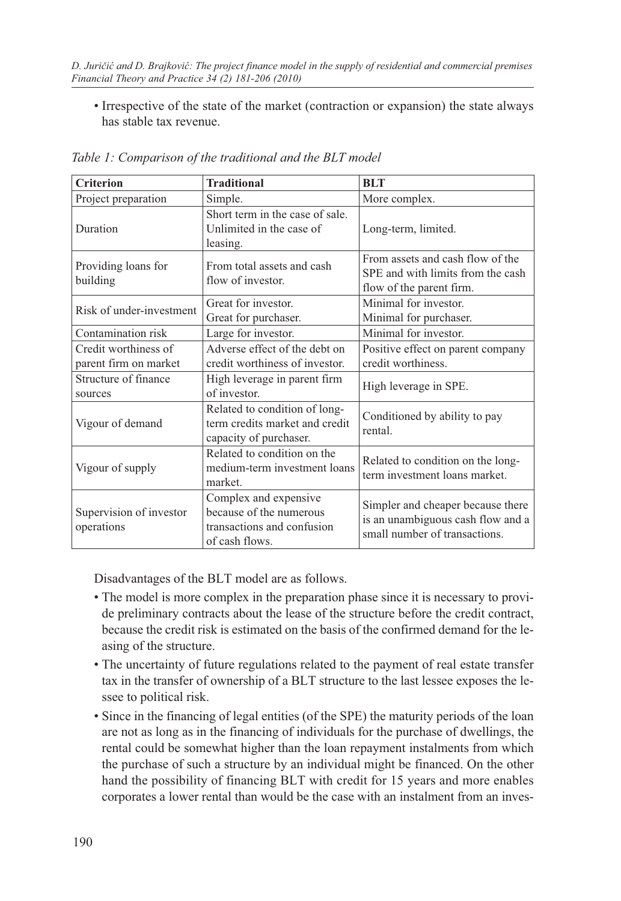• Irrespective of the state of the market (contraction or expansion) the state always has stable tax revenue.

| <b>Criterion</b>                              | <b>Traditional</b>                                                                               | <b>BLT</b>                                                                                              |  |
|-----------------------------------------------|--------------------------------------------------------------------------------------------------|---------------------------------------------------------------------------------------------------------|--|
| Project preparation                           | Simple.                                                                                          | More complex.                                                                                           |  |
| Duration                                      | Short term in the case of sale.<br>Unlimited in the case of<br>leasing.                          | Long-term, limited.                                                                                     |  |
| Providing loans for<br>building               | From total assets and cash<br>flow of investor.                                                  | From assets and cash flow of the<br>SPE and with limits from the cash<br>flow of the parent firm.       |  |
| Risk of under-investment                      | Great for investor.<br>Great for purchaser.                                                      | Minimal for investor.<br>Minimal for purchaser.                                                         |  |
| Contamination risk                            | Large for investor.                                                                              | Minimal for investor.                                                                                   |  |
| Credit worthiness of<br>parent firm on market | Adverse effect of the debt on<br>credit worthiness of investor.                                  | Positive effect on parent company<br>credit worthiness.                                                 |  |
| Structure of finance<br>sources               | High leverage in parent firm<br>of investor.                                                     | High leverage in SPE.                                                                                   |  |
| Vigour of demand                              | Related to condition of long-<br>term credits market and credit<br>capacity of purchaser.        | Conditioned by ability to pay<br>rental.                                                                |  |
| Vigour of supply                              | Related to condition on the<br>medium-term investment loans<br>market.                           | Related to condition on the long-<br>term investment loans market.                                      |  |
| Supervision of investor<br>operations         | Complex and expensive<br>because of the numerous<br>transactions and confusion<br>of cash flows. | Simpler and cheaper because there<br>is an unambiguous cash flow and a<br>small number of transactions. |  |

*Table 1: Comparison of the traditional and the BLT model*

Disadvantages of the BLT model are as follows.

- The model is more complex in the preparation phase since it is necessary to provide preliminary contracts about the lease of the structure before the credit contract, because the credit risk is estimated on the basis of the confirmed demand for the leasing of the structure.
- The uncertainty of future regulations related to the payment of real estate transfer tax in the transfer of ownership of a BLT structure to the last lessee exposes the lessee to political risk.
- Since in the financing of legal entities (of the SPE) the maturity periods of the loan are not as long as in the financing of individuals for the purchase of dwellings, the rental could be somewhat higher than the loan repayment instalments from which the purchase of such a structure by an individual might be financed. On the other hand the possibility of financing BLT with credit for 15 years and more enables corporates a lower rental than would be the case with an instalment from an inves-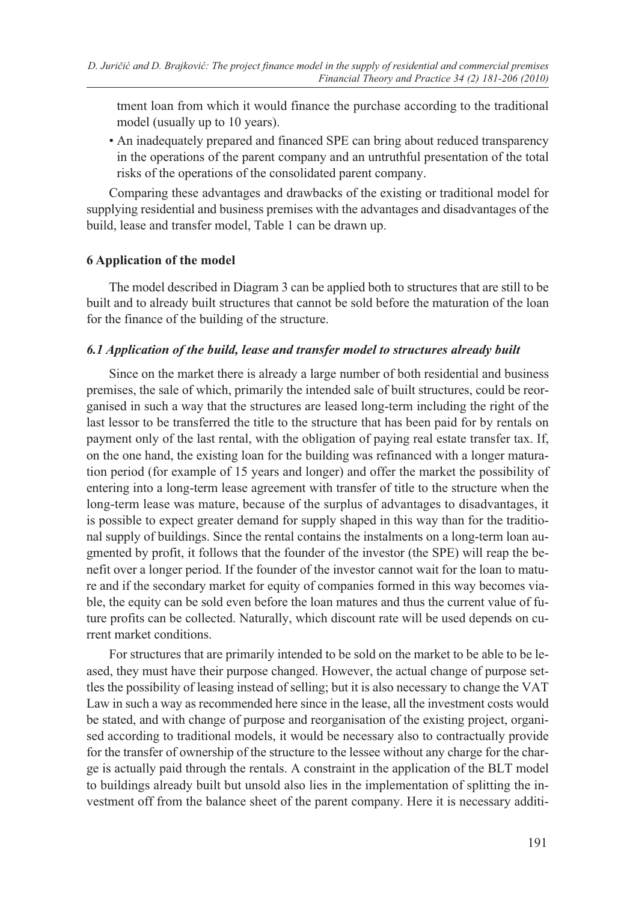tment loan from which it would finance the purchase according to the traditional model (usually up to 10 years).

• An inadequately prepared and financed SPE can bring about reduced transparency in the operations of the parent company and an untruthful presentation of the total risks of the operations of the consolidated parent company.

Comparing these advantages and drawbacks of the existing or traditional model for supplying residential and business premises with the advantages and disadvantages of the build, lease and transfer model, Table 1 can be drawn up.

## **6 Application of the model**

The model described in Diagram 3 can be applied both to structures that are still to be built and to already built structures that cannot be sold before the maturation of the loan for the finance of the building of the structure.

## *6.1 Application of the build, lease and transfer model to structures already built*

Since on the market there is already a large number of both residential and business premises, the sale of which, primarily the intended sale of built structures, could be reorganised in such a way that the structures are leased long-term including the right of the last lessor to be transferred the title to the structure that has been paid for by rentals on payment only of the last rental, with the obligation of paying real estate transfer tax. If, on the one hand, the existing loan for the building was refinanced with a longer maturation period (for example of 15 years and longer) and offer the market the possibility of entering into a long-term lease agreement with transfer of title to the structure when the long-term lease was mature, because of the surplus of advantages to disadvantages, it is possible to expect greater demand for supply shaped in this way than for the traditional supply of buildings. Since the rental contains the instalments on a long-term loan augmented by profit, it follows that the founder of the investor (the SPE) will reap the benefit over a longer period. If the founder of the investor cannot wait for the loan to mature and if the secondary market for equity of companies formed in this way becomes viable, the equity can be sold even before the loan matures and thus the current value of future profits can be collected. Naturally, which discount rate will be used depends on current market conditions.

For structures that are primarily intended to be sold on the market to be able to be leased, they must have their purpose changed. However, the actual change of purpose settles the possibility of leasing instead of selling; but it is also necessary to change the VAT Law in such a way as recommended here since in the lease, all the investment costs would be stated, and with change of purpose and reorganisation of the existing project, organised according to traditional models, it would be necessary also to contractually provide for the transfer of ownership of the structure to the lessee without any charge for the charge is actually paid through the rentals. A constraint in the application of the BLT model to buildings already built but unsold also lies in the implementation of splitting the investment off from the balance sheet of the parent company. Here it is necessary additi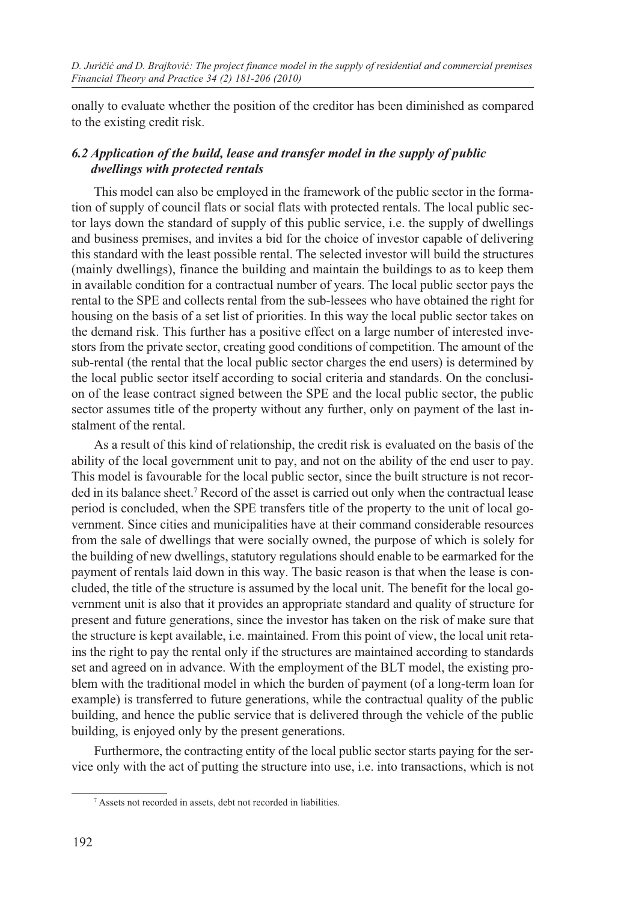onally to evaluate whether the position of the creditor has been diminished as compared to the existing credit risk.

## *6.2 Application of the build, lease and transfer model in the supply of public dwellings with protected rentals*

This model can also be employed in the framework of the public sector in the formation of supply of council flats or social flats with protected rentals. The local public sector lays down the standard of supply of this public service, i.e. the supply of dwellings and business premises, and invites a bid for the choice of investor capable of delivering this standard with the least possible rental. The selected investor will build the structures (mainly dwellings), finance the building and maintain the buildings to as to keep them in available condition for a contractual number of years. The local public sector pays the rental to the SPE and collects rental from the sub-lessees who have obtained the right for housing on the basis of a set list of priorities. In this way the local public sector takes on the demand risk. This further has a positive effect on a large number of interested investors from the private sector, creating good conditions of competition. The amount of the sub-rental (the rental that the local public sector charges the end users) is determined by the local public sector itself according to social criteria and standards. On the conclusion of the lease contract signed between the SPE and the local public sector, the public sector assumes title of the property without any further, only on payment of the last instalment of the rental.

As a result of this kind of relationship, the credit risk is evaluated on the basis of the ability of the local government unit to pay, and not on the ability of the end user to pay. This model is favourable for the local public sector, since the built structure is not recorded in its balance sheet.<sup>7</sup> Record of the asset is carried out only when the contractual lease period is concluded, when the SPE transfers title of the property to the unit of local government. Since cities and municipalities have at their command considerable resources from the sale of dwellings that were socially owned, the purpose of which is solely for the building of new dwellings, statutory regulations should enable to be earmarked for the payment of rentals laid down in this way. The basic reason is that when the lease is concluded, the title of the structure is assumed by the local unit. The benefit for the local government unit is also that it provides an appropriate standard and quality of structure for present and future generations, since the investor has taken on the risk of make sure that the structure is kept available, i.e. maintained. From this point of view, the local unit retains the right to pay the rental only if the structures are maintained according to standards set and agreed on in advance. With the employment of the BLT model, the existing problem with the traditional model in which the burden of payment (of a long-term loan for example) is transferred to future generations, while the contractual quality of the public building, and hence the public service that is delivered through the vehicle of the public building, is enjoyed only by the present generations.

Furthermore, the contracting entity of the local public sector starts paying for the service only with the act of putting the structure into use, i.e. into transactions, which is not

<sup>7</sup> Assets not recorded in assets, debt not recorded in liabilities.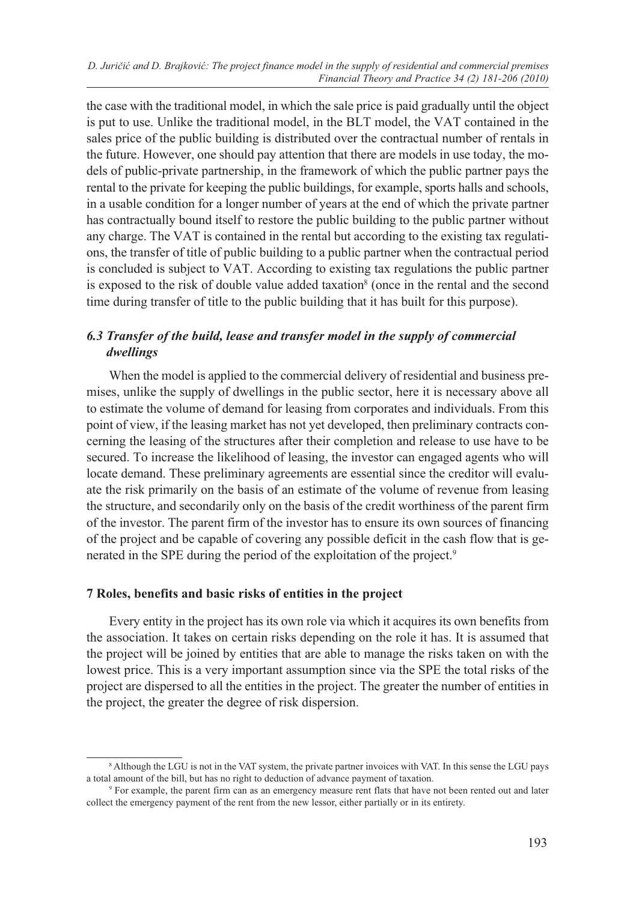the case with the traditional model, in which the sale price is paid gradually until the object is put to use. Unlike the traditional model, in the BLT model, the VAT contained in the sales price of the public building is distributed over the contractual number of rentals in the future. However, one should pay attention that there are models in use today, the models of public-private partnership, in the framework of which the public partner pays the rental to the private for keeping the public buildings, for example, sports halls and schools, in a usable condition for a longer number of years at the end of which the private partner has contractually bound itself to restore the public building to the public partner without any charge. The VAT is contained in the rental but according to the existing tax regulations, the transfer of title of public building to a public partner when the contractual period is concluded is subject to VAT. According to existing tax regulations the public partner is exposed to the risk of double value added taxation<sup>8</sup> (once in the rental and the second time during transfer of title to the public building that it has built for this purpose).

## *6.3 Transfer of the build, lease and transfer model in the supply of commercial dwellings*

When the model is applied to the commercial delivery of residential and business premises, unlike the supply of dwellings in the public sector, here it is necessary above all to estimate the volume of demand for leasing from corporates and individuals. From this point of view, if the leasing market has not yet developed, then preliminary contracts concerning the leasing of the structures after their completion and release to use have to be secured. To increase the likelihood of leasing, the investor can engaged agents who will locate demand. These preliminary agreements are essential since the creditor will evaluate the risk primarily on the basis of an estimate of the volume of revenue from leasing the structure, and secondarily only on the basis of the credit worthiness of the parent firm of the investor. The parent firm of the investor has to ensure its own sources of financing of the project and be capable of covering any possible deficit in the cash flow that is generated in the SPE during the period of the exploitation of the project.9

#### **7 Roles, benefits and basic risks of entities in the project**

Every entity in the project has its own role via which it acquires its own benefits from the association. It takes on certain risks depending on the role it has. It is assumed that the project will be joined by entities that are able to manage the risks taken on with the lowest price. This is a very important assumption since via the SPE the total risks of the project are dispersed to all the entities in the project. The greater the number of entities in the project, the greater the degree of risk dispersion.

<sup>&</sup>lt;sup>8</sup> Although the LGU is not in the VAT system, the private partner invoices with VAT. In this sense the LGU pays a total amount of the bill, but has no right to deduction of advance payment of taxation. 9

<sup>&</sup>lt;sup>9</sup> For example, the parent firm can as an emergency measure rent flats that have not been rented out and later collect the emergency payment of the rent from the new lessor, either partially or in its entirety.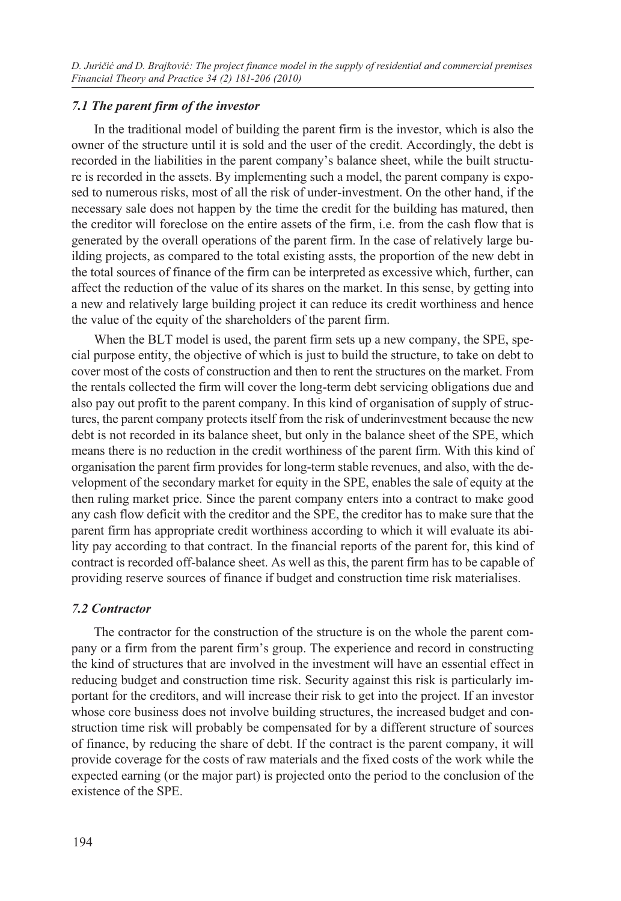#### *7.1 The parent firm of the investor*

In the traditional model of building the parent firm is the investor, which is also the owner of the structure until it is sold and the user of the credit. Accordingly, the debt is recorded in the liabilities in the parent company's balance sheet, while the built structure is recorded in the assets. By implementing such a model, the parent company is exposed to numerous risks, most of all the risk of under-investment. On the other hand, if the necessary sale does not happen by the time the credit for the building has matured, then the creditor will foreclose on the entire assets of the firm, i.e. from the cash flow that is generated by the overall operations of the parent firm. In the case of relatively large building projects, as compared to the total existing assts, the proportion of the new debt in the total sources of finance of the firm can be interpreted as excessive which, further, can affect the reduction of the value of its shares on the market. In this sense, by getting into a new and relatively large building project it can reduce its credit worthiness and hence the value of the equity of the shareholders of the parent firm.

When the BLT model is used, the parent firm sets up a new company, the SPE, special purpose entity, the objective of which is just to build the structure, to take on debt to cover most of the costs of construction and then to rent the structures on the market. From the rentals collected the firm will cover the long-term debt servicing obligations due and also pay out profit to the parent company. In this kind of organisation of supply of structures, the parent company protects itself from the risk of underinvestment because the new debt is not recorded in its balance sheet, but only in the balance sheet of the SPE, which means there is no reduction in the credit worthiness of the parent firm. With this kind of organisation the parent firm provides for long-term stable revenues, and also, with the development of the secondary market for equity in the SPE, enables the sale of equity at the then ruling market price. Since the parent company enters into a contract to make good any cash flow deficit with the creditor and the SPE, the creditor has to make sure that the parent firm has appropriate credit worthiness according to which it will evaluate its ability pay according to that contract. In the financial reports of the parent for, this kind of contract is recorded off-balance sheet. As well as this, the parent firm has to be capable of providing reserve sources of finance if budget and construction time risk materialises.

#### *7.2 Contractor*

The contractor for the construction of the structure is on the whole the parent company or a firm from the parent firm's group. The experience and record in constructing the kind of structures that are involved in the investment will have an essential effect in reducing budget and construction time risk. Security against this risk is particularly important for the creditors, and will increase their risk to get into the project. If an investor whose core business does not involve building structures, the increased budget and construction time risk will probably be compensated for by a different structure of sources of finance, by reducing the share of debt. If the contract is the parent company, it will provide coverage for the costs of raw materials and the fixed costs of the work while the expected earning (or the major part) is projected onto the period to the conclusion of the existence of the SPE.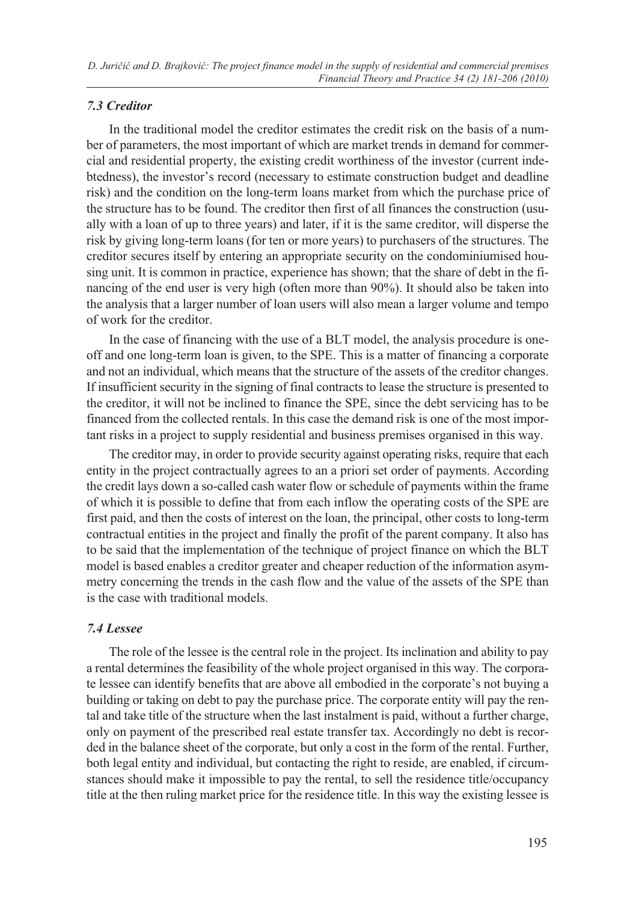#### *7.3 Creditor*

In the traditional model the creditor estimates the credit risk on the basis of a number of parameters, the most important of which are market trends in demand for commercial and residential property, the existing credit worthiness of the investor (current indebtedness), the investor's record (necessary to estimate construction budget and deadline risk) and the condition on the long-term loans market from which the purchase price of the structure has to be found. The creditor then first of all finances the construction (usually with a loan of up to three years) and later, if it is the same creditor, will disperse the risk by giving long-term loans (for ten or more years) to purchasers of the structures. The creditor secures itself by entering an appropriate security on the condominiumised housing unit. It is common in practice, experience has shown; that the share of debt in the financing of the end user is very high (often more than 90%). It should also be taken into the analysis that a larger number of loan users will also mean a larger volume and tempo of work for the creditor.

In the case of financing with the use of a BLT model, the analysis procedure is oneoff and one long-term loan is given, to the SPE. This is a matter of financing a corporate and not an individual, which means that the structure of the assets of the creditor changes. If insufficient security in the signing of final contracts to lease the structure is presented to the creditor, it will not be inclined to finance the SPE, since the debt servicing has to be financed from the collected rentals. In this case the demand risk is one of the most important risks in a project to supply residential and business premises organised in this way.

The creditor may, in order to provide security against operating risks, require that each entity in the project contractually agrees to an a priori set order of payments. According the credit lays down a so-called cash water flow or schedule of payments within the frame of which it is possible to define that from each inflow the operating costs of the SPE are first paid, and then the costs of interest on the loan, the principal, other costs to long-term contractual entities in the project and finally the profit of the parent company. It also has to be said that the implementation of the technique of project finance on which the BLT model is based enables a creditor greater and cheaper reduction of the information asymmetry concerning the trends in the cash flow and the value of the assets of the SPE than is the case with traditional models.

#### *7.4 Lessee*

The role of the lessee is the central role in the project. Its inclination and ability to pay a rental determines the feasibility of the whole project organised in this way. The corporate lessee can identify benefits that are above all embodied in the corporate's not buying a building or taking on debt to pay the purchase price. The corporate entity will pay the rental and take title of the structure when the last instalment is paid, without a further charge, only on payment of the prescribed real estate transfer tax. Accordingly no debt is recorded in the balance sheet of the corporate, but only a cost in the form of the rental. Further, both legal entity and individual, but contacting the right to reside, are enabled, if circumstances should make it impossible to pay the rental, to sell the residence title/occupancy title at the then ruling market price for the residence title. In this way the existing lessee is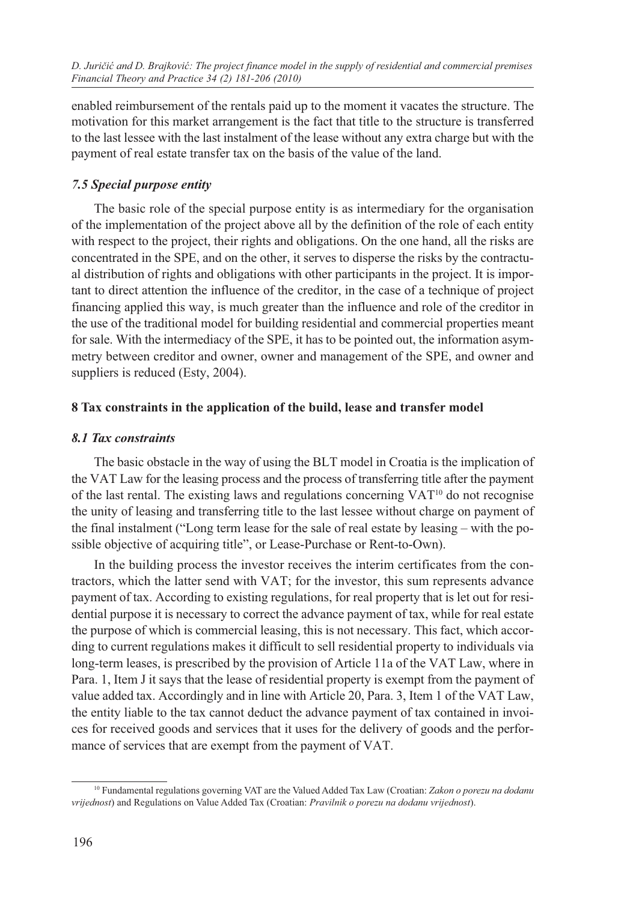enabled reimbursement of the rentals paid up to the moment it vacates the structure. The motivation for this market arrangement is the fact that title to the structure is transferred to the last lessee with the last instalment of the lease without any extra charge but with the payment of real estate transfer tax on the basis of the value of the land.

# *7.5 Special purpose entity*

The basic role of the special purpose entity is as intermediary for the organisation of the implementation of the project above all by the definition of the role of each entity with respect to the project, their rights and obligations. On the one hand, all the risks are concentrated in the SPE, and on the other, it serves to disperse the risks by the contractual distribution of rights and obligations with other participants in the project. It is important to direct attention the influence of the creditor, in the case of a technique of project financing applied this way, is much greater than the influence and role of the creditor in the use of the traditional model for building residential and commercial properties meant for sale. With the intermediacy of the SPE, it has to be pointed out, the information asymmetry between creditor and owner, owner and management of the SPE, and owner and suppliers is reduced (Esty, 2004).

## **8 Tax constraints in the application of the build, lease and transfer model**

## *8.1 Tax constraints*

The basic obstacle in the way of using the BLT model in Croatia is the implication of the VAT Law for the leasing process and the process of transferring title after the payment of the last rental. The existing laws and regulations concerning  $VAT^{10}$  do not recognise the unity of leasing and transferring title to the last lessee without charge on payment of the final instalment ("Long term lease for the sale of real estate by leasing – with the possible objective of acquiring title", or Lease-Purchase or Rent-to-Own).

In the building process the investor receives the interim certificates from the contractors, which the latter send with VAT; for the investor, this sum represents advance payment of tax. According to existing regulations, for real property that is let out for residential purpose it is necessary to correct the advance payment of tax, while for real estate the purpose of which is commercial leasing, this is not necessary. This fact, which according to current regulations makes it difficult to sell residential property to individuals via long-term leases, is prescribed by the provision of Article 11a of the VAT Law, where in Para. 1, Item J it says that the lease of residential property is exempt from the payment of value added tax. Accordingly and in line with Article 20, Para. 3, Item 1 of the VAT Law, the entity liable to the tax cannot deduct the advance payment of tax contained in invoices for received goods and services that it uses for the delivery of goods and the performance of services that are exempt from the payment of VAT.

<sup>10</sup> Fundamental regulations governing VAT are the Valued Added Tax Law (Croatian: *Zakon o porezu na dodanu vrijednost*) and Regulations on Value Added Tax (Croatian: *Pravilnik o porezu na dodanu vrijednost*).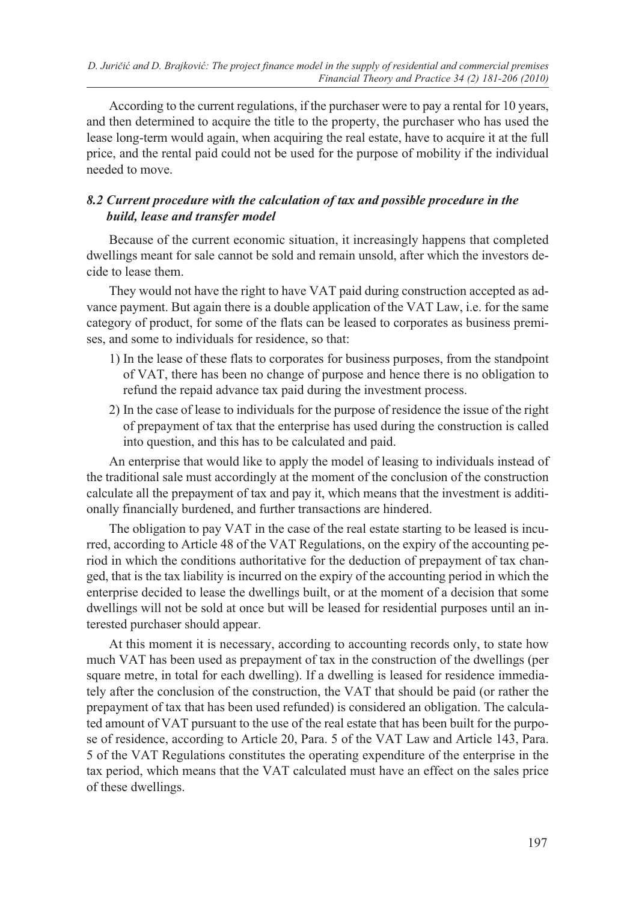According to the current regulations, if the purchaser were to pay a rental for 10 years, and then determined to acquire the title to the property, the purchaser who has used the lease long-term would again, when acquiring the real estate, have to acquire it at the full price, and the rental paid could not be used for the purpose of mobility if the individual needed to move.

## *8.2 Current procedure with the calculation of tax and possible procedure in the build, lease and transfer model*

Because of the current economic situation, it increasingly happens that completed dwellings meant for sale cannot be sold and remain unsold, after which the investors decide to lease them.

They would not have the right to have VAT paid during construction accepted as advance payment. But again there is a double application of the VAT Law, i.e. for the same category of product, for some of the flats can be leased to corporates as business premises, and some to individuals for residence, so that:

- 1) In the lease of these flats to corporates for business purposes, from the standpoint of VAT, there has been no change of purpose and hence there is no obligation to refund the repaid advance tax paid during the investment process.
- 2) In the case of lease to individuals for the purpose of residence the issue of the right of prepayment of tax that the enterprise has used during the construction is called into question, and this has to be calculated and paid.

An enterprise that would like to apply the model of leasing to individuals instead of the traditional sale must accordingly at the moment of the conclusion of the construction calculate all the prepayment of tax and pay it, which means that the investment is additionally financially burdened, and further transactions are hindered.

The obligation to pay VAT in the case of the real estate starting to be leased is incurred, according to Article 48 of the VAT Regulations, on the expiry of the accounting period in which the conditions authoritative for the deduction of prepayment of tax changed, that is the tax liability is incurred on the expiry of the accounting period in which the enterprise decided to lease the dwellings built, or at the moment of a decision that some dwellings will not be sold at once but will be leased for residential purposes until an interested purchaser should appear.

At this moment it is necessary, according to accounting records only, to state how much VAT has been used as prepayment of tax in the construction of the dwellings (per square metre, in total for each dwelling). If a dwelling is leased for residence immediately after the conclusion of the construction, the VAT that should be paid (or rather the prepayment of tax that has been used refunded) is considered an obligation. The calculated amount of VAT pursuant to the use of the real estate that has been built for the purpose of residence, according to Article 20, Para. 5 of the VAT Law and Article 143, Para. 5 of the VAT Regulations constitutes the operating expenditure of the enterprise in the tax period, which means that the VAT calculated must have an effect on the sales price of these dwellings.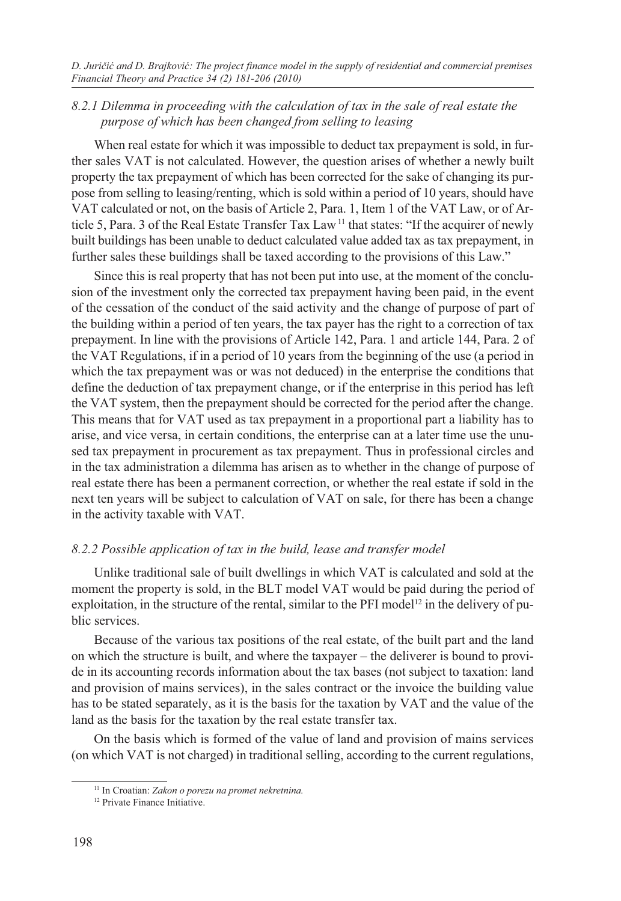*D. Juričić and D. Brajković: The project finance model in the supply of residential and commercial premises Financial Theory and Practice 34 (2) 181-206 (2010)*

#### *8.2.1 Dilemma in proceeding with the calculation of tax in the sale of real estate the purpose of which has been changed from selling to leasing*

When real estate for which it was impossible to deduct tax prepayment is sold, in further sales VAT is not calculated. However, the question arises of whether a newly built property the tax prepayment of which has been corrected for the sake of changing its purpose from selling to leasing/renting, which is sold within a period of 10 years, should have VAT calculated or not, on the basis of Article 2, Para. 1, Item 1 of the VAT Law, or of Article 5, Para. 3 of the Real Estate Transfer Tax Law 11 that states: "If the acquirer of newly built buildings has been unable to deduct calculated value added tax as tax prepayment, in further sales these buildings shall be taxed according to the provisions of this Law."

Since this is real property that has not been put into use, at the moment of the conclusion of the investment only the corrected tax prepayment having been paid, in the event of the cessation of the conduct of the said activity and the change of purpose of part of the building within a period of ten years, the tax payer has the right to a correction of tax prepayment. In line with the provisions of Article 142, Para. 1 and article 144, Para. 2 of the VAT Regulations, if in a period of 10 years from the beginning of the use (a period in which the tax prepayment was or was not deduced) in the enterprise the conditions that define the deduction of tax prepayment change, or if the enterprise in this period has left the VAT system, then the prepayment should be corrected for the period after the change. This means that for VAT used as tax prepayment in a proportional part a liability has to arise, and vice versa, in certain conditions, the enterprise can at a later time use the unused tax prepayment in procurement as tax prepayment. Thus in professional circles and in the tax administration a dilemma has arisen as to whether in the change of purpose of real estate there has been a permanent correction, or whether the real estate if sold in the next ten years will be subject to calculation of VAT on sale, for there has been a change in the activity taxable with VAT.

#### *8.2.2 Possible application of tax in the build, lease and transfer model*

Unlike traditional sale of built dwellings in which VAT is calculated and sold at the moment the property is sold, in the BLT model VAT would be paid during the period of exploitation, in the structure of the rental, similar to the PFI model<sup>12</sup> in the delivery of public services.

Because of the various tax positions of the real estate, of the built part and the land on which the structure is built, and where the taxpayer – the deliverer is bound to provide in its accounting records information about the tax bases (not subject to taxation: land and provision of mains services), in the sales contract or the invoice the building value has to be stated separately, as it is the basis for the taxation by VAT and the value of the land as the basis for the taxation by the real estate transfer tax.

On the basis which is formed of the value of land and provision of mains services (on which VAT is not charged) in traditional selling, according to the current regulations,

<sup>11</sup> In Croatian: *Zakon o porezu na promet nekretnina.*

<sup>&</sup>lt;sup>12</sup> Private Finance Initiative.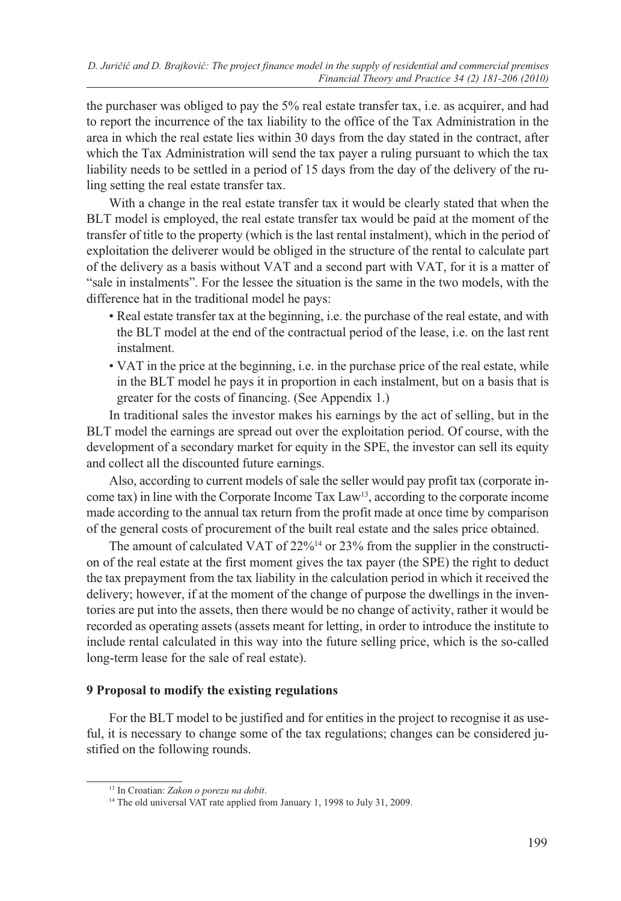the purchaser was obliged to pay the 5% real estate transfer tax, i.e. as acquirer, and had to report the incurrence of the tax liability to the office of the Tax Administration in the area in which the real estate lies within 30 days from the day stated in the contract, after which the Tax Administration will send the tax payer a ruling pursuant to which the tax liability needs to be settled in a period of 15 days from the day of the delivery of the ruling setting the real estate transfer tax.

With a change in the real estate transfer tax it would be clearly stated that when the BLT model is employed, the real estate transfer tax would be paid at the moment of the transfer of title to the property (which is the last rental instalment), which in the period of exploitation the deliverer would be obliged in the structure of the rental to calculate part of the delivery as a basis without VAT and a second part with VAT, for it is a matter of "sale in instalments". For the lessee the situation is the same in the two models, with the difference hat in the traditional model he pays:

- Real estate transfer tax at the beginning, i.e. the purchase of the real estate, and with the BLT model at the end of the contractual period of the lease, i.e. on the last rent instalment.
- VAT in the price at the beginning, i.e. in the purchase price of the real estate, while in the BLT model he pays it in proportion in each instalment, but on a basis that is greater for the costs of financing. (See Appendix 1.)

In traditional sales the investor makes his earnings by the act of selling, but in the BLT model the earnings are spread out over the exploitation period. Of course, with the development of a secondary market for equity in the SPE, the investor can sell its equity and collect all the discounted future earnings.

Also, according to current models of sale the seller would pay profit tax (corporate income tax) in line with the Corporate Income Tax Law13, according to the corporate income made according to the annual tax return from the profit made at once time by comparison of the general costs of procurement of the built real estate and the sales price obtained.

The amount of calculated VAT of 22%<sup>14</sup> or 23% from the supplier in the construction of the real estate at the first moment gives the tax payer (the SPE) the right to deduct the tax prepayment from the tax liability in the calculation period in which it received the delivery; however, if at the moment of the change of purpose the dwellings in the inventories are put into the assets, then there would be no change of activity, rather it would be recorded as operating assets (assets meant for letting, in order to introduce the institute to include rental calculated in this way into the future selling price, which is the so-called long-term lease for the sale of real estate).

#### **9 Proposal to modify the existing regulations**

For the BLT model to be justified and for entities in the project to recognise it as useful, it is necessary to change some of the tax regulations; changes can be considered justified on the following rounds.

<sup>13</sup> In Croatian: *Zakon o porezu na dobit*.

<sup>&</sup>lt;sup>14</sup> The old universal VAT rate applied from January 1, 1998 to July 31, 2009.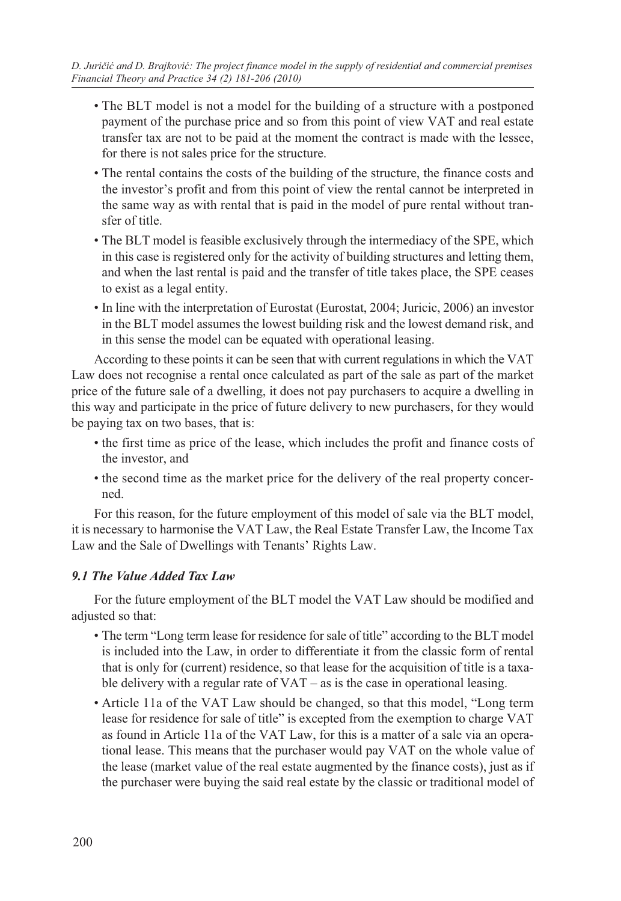- The BLT model is not a model for the building of a structure with a postponed payment of the purchase price and so from this point of view VAT and real estate transfer tax are not to be paid at the moment the contract is made with the lessee, for there is not sales price for the structure.
- The rental contains the costs of the building of the structure, the finance costs and the investor's profit and from this point of view the rental cannot be interpreted in the same way as with rental that is paid in the model of pure rental without transfer of title.
- The BLT model is feasible exclusively through the intermediacy of the SPE, which in this case is registered only for the activity of building structures and letting them, and when the last rental is paid and the transfer of title takes place, the SPE ceases to exist as a legal entity.
- In line with the interpretation of Eurostat (Eurostat, 2004; Juricic, 2006) an investor in the BLT model assumes the lowest building risk and the lowest demand risk, and in this sense the model can be equated with operational leasing.

According to these points it can be seen that with current regulations in which the VAT Law does not recognise a rental once calculated as part of the sale as part of the market price of the future sale of a dwelling, it does not pay purchasers to acquire a dwelling in this way and participate in the price of future delivery to new purchasers, for they would be paying tax on two bases, that is:

- the first time as price of the lease, which includes the profit and finance costs of the investor, and
- the second time as the market price for the delivery of the real property concerned.

For this reason, for the future employment of this model of sale via the BLT model, it is necessary to harmonise the VAT Law, the Real Estate Transfer Law, the Income Tax Law and the Sale of Dwellings with Tenants' Rights Law.

## *9.1 The Value Added Tax Law*

For the future employment of the BLT model the VAT Law should be modified and adjusted so that:

- The term "Long term lease for residence for sale of title" according to the BLT model is included into the Law, in order to differentiate it from the classic form of rental that is only for (current) residence, so that lease for the acquisition of title is a taxable delivery with a regular rate of  $VAT - as$  is the case in operational leasing.
- Article 11a of the VAT Law should be changed, so that this model, "Long term lease for residence for sale of title" is excepted from the exemption to charge VAT as found in Article 11a of the VAT Law, for this is a matter of a sale via an operational lease. This means that the purchaser would pay VAT on the whole value of the lease (market value of the real estate augmented by the finance costs), just as if the purchaser were buying the said real estate by the classic or traditional model of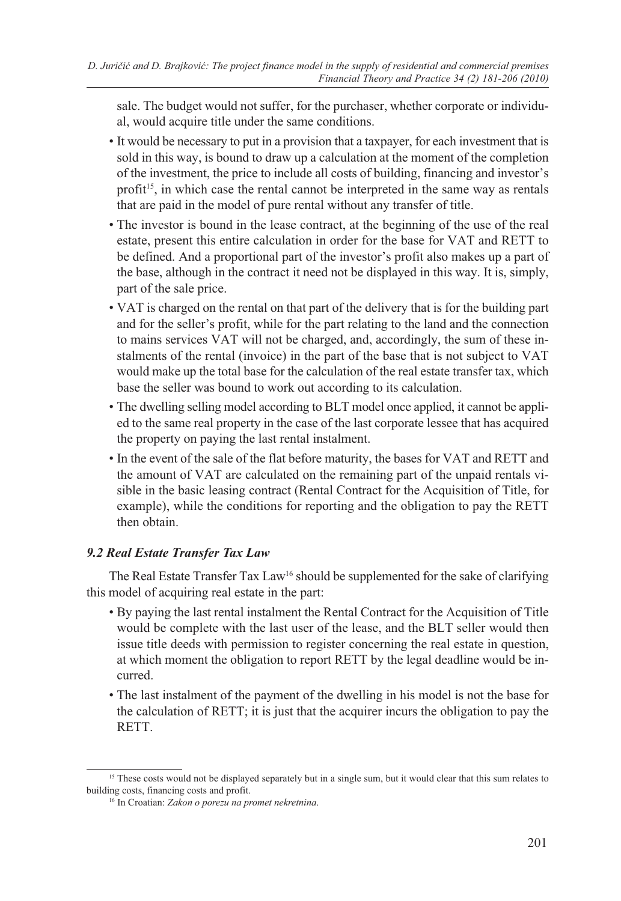sale. The budget would not suffer, for the purchaser, whether corporate or individual, would acquire title under the same conditions.

- It would be necessary to put in a provision that a taxpayer, for each investment that is sold in this way, is bound to draw up a calculation at the moment of the completion of the investment, the price to include all costs of building, financing and investor's profit<sup>15</sup>, in which case the rental cannot be interpreted in the same way as rentals that are paid in the model of pure rental without any transfer of title.
- The investor is bound in the lease contract, at the beginning of the use of the real estate, present this entire calculation in order for the base for VAT and RETT to be defined. And a proportional part of the investor's profit also makes up a part of the base, although in the contract it need not be displayed in this way. It is, simply, part of the sale price.
- VAT is charged on the rental on that part of the delivery that is for the building part and for the seller's profit, while for the part relating to the land and the connection to mains services VAT will not be charged, and, accordingly, the sum of these instalments of the rental (invoice) in the part of the base that is not subject to VAT would make up the total base for the calculation of the real estate transfer tax, which base the seller was bound to work out according to its calculation.
- The dwelling selling model according to BLT model once applied, it cannot be applied to the same real property in the case of the last corporate lessee that has acquired the property on paying the last rental instalment.
- In the event of the sale of the flat before maturity, the bases for VAT and RETT and the amount of VAT are calculated on the remaining part of the unpaid rentals visible in the basic leasing contract (Rental Contract for the Acquisition of Title, for example), while the conditions for reporting and the obligation to pay the RETT then obtain.

# *9.2 Real Estate Transfer Tax Law*

The Real Estate Transfer Tax Law<sup>16</sup> should be supplemented for the sake of clarifying this model of acquiring real estate in the part:

- By paying the last rental instalment the Rental Contract for the Acquisition of Title would be complete with the last user of the lease, and the BLT seller would then issue title deeds with permission to register concerning the real estate in question, at which moment the obligation to report RETT by the legal deadline would be incurred.
- The last instalment of the payment of the dwelling in his model is not the base for the calculation of RETT; it is just that the acquirer incurs the obligation to pay the RETT.

<sup>&</sup>lt;sup>15</sup> These costs would not be displayed separately but in a single sum, but it would clear that this sum relates to building costs, financing costs and profit.

<sup>16</sup> In Croatian: *Zakon o porezu na promet nekretnina*.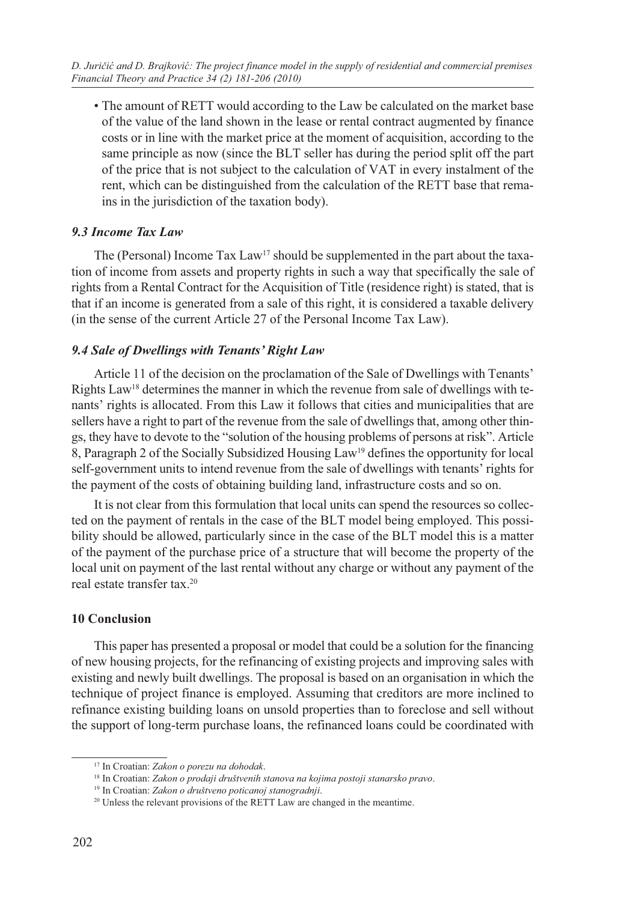• The amount of RETT would according to the Law be calculated on the market base of the value of the land shown in the lease or rental contract augmented by finance costs or in line with the market price at the moment of acquisition, according to the same principle as now (since the BLT seller has during the period split off the part of the price that is not subject to the calculation of VAT in every instalment of the rent, which can be distinguished from the calculation of the RETT base that remains in the jurisdiction of the taxation body).

## *9.3 Income Tax Law*

The (Personal) Income  $\text{Tax Law}^{17}$  should be supplemented in the part about the taxation of income from assets and property rights in such a way that specifically the sale of rights from a Rental Contract for the Acquisition of Title (residence right) is stated, that is that if an income is generated from a sale of this right, it is considered a taxable delivery (in the sense of the current Article 27 of the Personal Income Tax Law).

## *9.4 Sale of Dwellings with Tenants' Right Law*

Article 11 of the decision on the proclamation of the Sale of Dwellings with Tenants' Rights Law<sup>18</sup> determines the manner in which the revenue from sale of dwellings with tenants' rights is allocated. From this Law it follows that cities and municipalities that are sellers have a right to part of the revenue from the sale of dwellings that, among other things, they have to devote to the "solution of the housing problems of persons at risk". Article 8, Paragraph 2 of the Socially Subsidized Housing Law19 defines the opportunity for local self-government units to intend revenue from the sale of dwellings with tenants' rights for the payment of the costs of obtaining building land, infrastructure costs and so on.

It is not clear from this formulation that local units can spend the resources so collected on the payment of rentals in the case of the BLT model being employed. This possibility should be allowed, particularly since in the case of the BLT model this is a matter of the payment of the purchase price of a structure that will become the property of the local unit on payment of the last rental without any charge or without any payment of the real estate transfer tax.20

## **10 Conclusion**

This paper has presented a proposal or model that could be a solution for the financing of new housing projects, for the refinancing of existing projects and improving sales with existing and newly built dwellings. The proposal is based on an organisation in which the technique of project finance is employed. Assuming that creditors are more inclined to refinance existing building loans on unsold properties than to foreclose and sell without the support of long-term purchase loans, the refinanced loans could be coordinated with

<sup>17</sup> In Croatian: *Zakon o porezu na dohodak*.

<sup>18</sup> In Croatian: *Zakon o prodaji društvenih stanova na kojima postoji stanarsko pravo*.

<sup>19</sup> In Croatian: *Zakon o društveno poticanoj stanogradnji*.

<sup>&</sup>lt;sup>20</sup> Unless the relevant provisions of the RETT Law are changed in the meantime.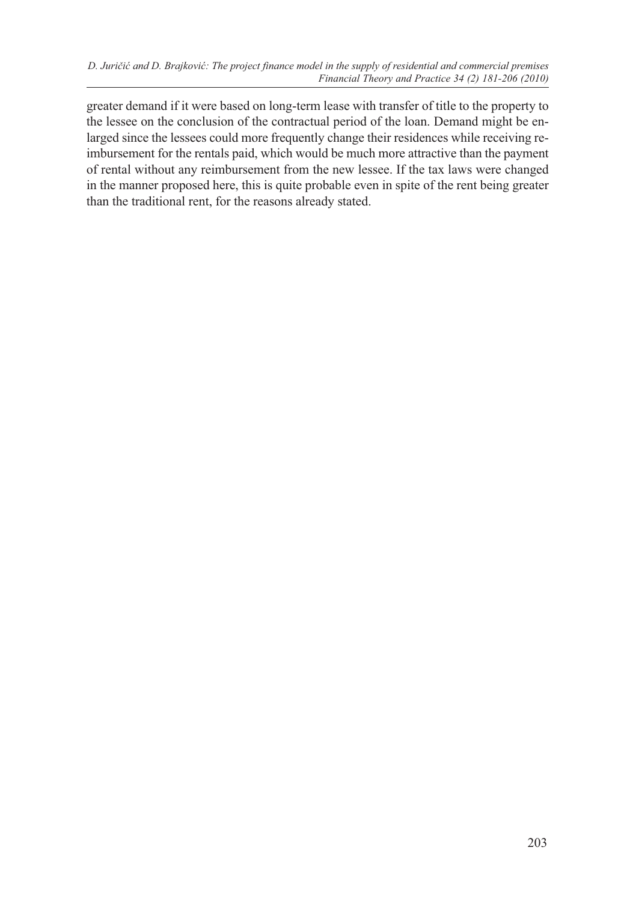greater demand if it were based on long-term lease with transfer of title to the property to the lessee on the conclusion of the contractual period of the loan. Demand might be enlarged since the lessees could more frequently change their residences while receiving reimbursement for the rentals paid, which would be much more attractive than the payment of rental without any reimbursement from the new lessee. If the tax laws were changed in the manner proposed here, this is quite probable even in spite of the rent being greater than the traditional rent, for the reasons already stated.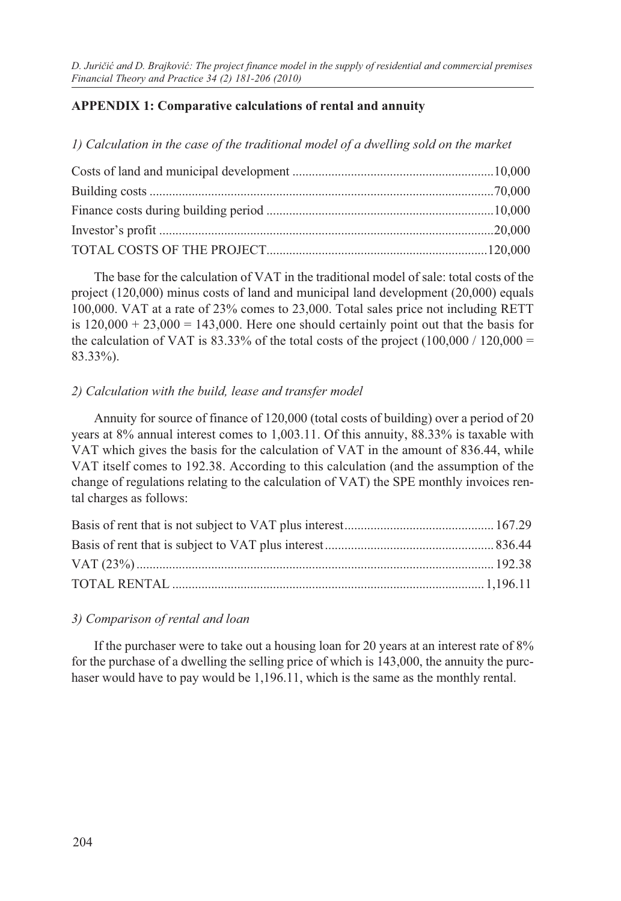# **APPENDIX 1: Comparative calculations of rental and annuity**

*1) Calculation in the case of the traditional model of a dwelling sold on the market*

The base for the calculation of VAT in the traditional model of sale: total costs of the project (120,000) minus costs of land and municipal land development (20,000) equals 100,000. VAT at a rate of 23% comes to 23,000. Total sales price not including RETT is  $120,000 + 23,000 = 143,000$ . Here one should certainly point out that the basis for the calculation of VAT is 83.33% of the total costs of the project  $(100,000 / 120,000 =$ 83.33%).

## *2) Calculation with the build, lease and transfer model*

Annuity for source of finance of 120,000 (total costs of building) over a period of 20 years at 8% annual interest comes to 1,003.11. Of this annuity, 88.33% is taxable with VAT which gives the basis for the calculation of VAT in the amount of 836.44, while VAT itself comes to 192.38. According to this calculation (and the assumption of the change of regulations relating to the calculation of VAT) the SPE monthly invoices rental charges as follows:

#### *3) Comparison of rental and loan*

If the purchaser were to take out a housing loan for 20 years at an interest rate of 8% for the purchase of a dwelling the selling price of which is 143,000, the annuity the purchaser would have to pay would be 1,196.11, which is the same as the monthly rental.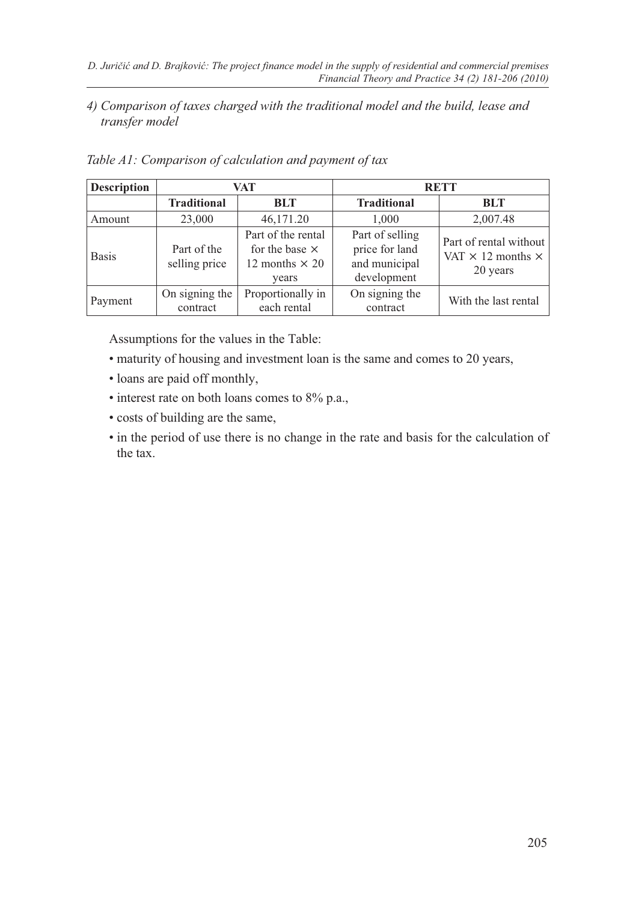## *4) Comparison of taxes charged with the traditional model and the build, lease and transfer model*

| <b>Description</b> | VAT.                         |                                                                               | <b>RETT</b>                                                       |                                                                       |
|--------------------|------------------------------|-------------------------------------------------------------------------------|-------------------------------------------------------------------|-----------------------------------------------------------------------|
|                    | <b>Traditional</b>           | BLT                                                                           | <b>Traditional</b>                                                | BLT                                                                   |
| Amount             | 23,000                       | 46,171.20                                                                     | 1.000                                                             | 2,007.48                                                              |
| <b>Basis</b>       | Part of the<br>selling price | Part of the rental<br>for the base $\times$<br>12 months $\times$ 20<br>years | Part of selling<br>price for land<br>and municipal<br>development | Part of rental without<br>VAT $\times$ 12 months $\times$<br>20 years |
| Payment            | On signing the<br>contract   | Proportionally in<br>each rental                                              | On signing the<br>contract                                        | With the last rental                                                  |

*Table A1: Comparison of calculation and payment of tax*

Assumptions for the values in the Table:

- maturity of housing and investment loan is the same and comes to 20 years,
- loans are paid off monthly,
- interest rate on both loans comes to 8% p.a.,
- costs of building are the same,
- in the period of use there is no change in the rate and basis for the calculation of the tax.